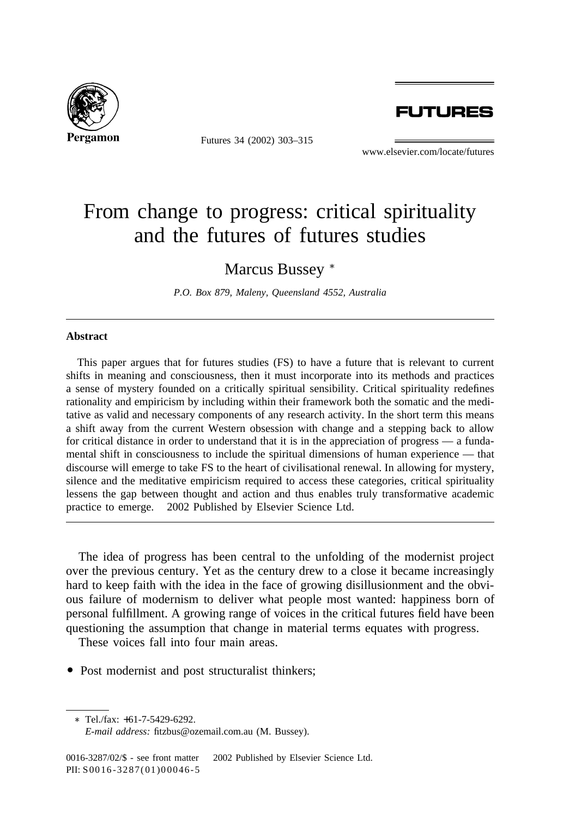

Futures 34 (2002) 303–315



www.elsevier.com/locate/futures

# From change to progress: critical spirituality and the futures of futures studies

## Marcus Bussey <sup>∗</sup>

*P.O. Box 879, Maleny, Queensland 4552, Australia*

#### **Abstract**

This paper argues that for futures studies (FS) to have a future that is relevant to current shifts in meaning and consciousness, then it must incorporate into its methods and practices a sense of mystery founded on a critically spiritual sensibility. Critical spirituality redefines rationality and empiricism by including within their framework both the somatic and the meditative as valid and necessary components of any research activity. In the short term this means a shift away from the current Western obsession with change and a stepping back to allow for critical distance in order to understand that it is in the appreciation of progress — a fundamental shift in consciousness to include the spiritual dimensions of human experience — that discourse will emerge to take FS to the heart of civilisational renewal. In allowing for mystery, silence and the meditative empiricism required to access these categories, critical spirituality lessens the gap between thought and action and thus enables truly transformative academic practice to emerge. $\odot$  2002 Published by Elsevier Science Ltd.

The idea of progress has been central to the unfolding of the modernist project over the previous century. Yet as the century drew to a close it became increasingly hard to keep faith with the idea in the face of growing disillusionment and the obvious failure of modernism to deliver what people most wanted: happiness born of personal fulfillment. A growing range of voices in the critical futures field have been questioning the assumption that change in material terms equates with progress.

These voices fall into four main areas.

• Post modernist and post structuralist thinkers;

<sup>∗</sup> Tel./fax: +61-7-5429-6292.

*E-mail address:* fitzbus@ozemail.com.au (M. Bussey).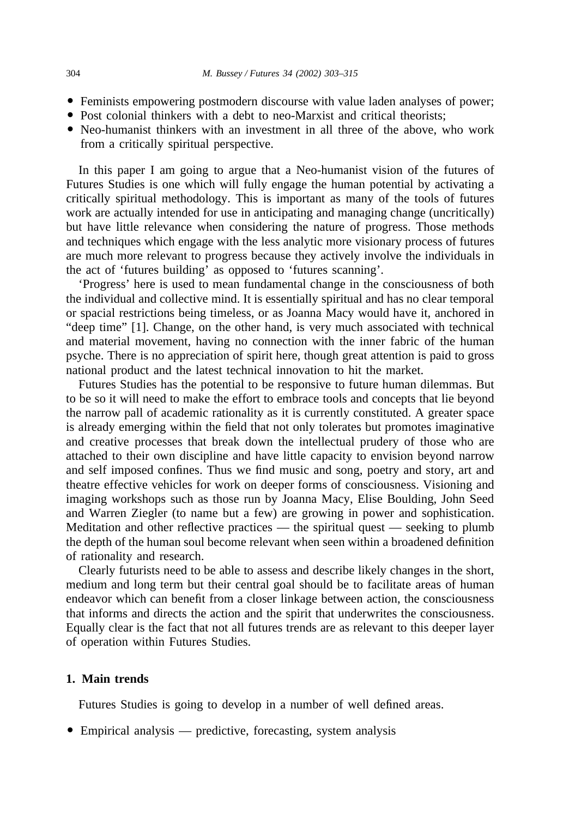- Feminists empowering postmodern discourse with value laden analyses of power;
- Post colonial thinkers with a debt to neo-Marxist and critical theorists:
- Neo-humanist thinkers with an investment in all three of the above, who work from a critically spiritual perspective.

In this paper I am going to argue that a Neo-humanist vision of the futures of Futures Studies is one which will fully engage the human potential by activating a critically spiritual methodology. This is important as many of the tools of futures work are actually intended for use in anticipating and managing change (uncritically) but have little relevance when considering the nature of progress. Those methods and techniques which engage with the less analytic more visionary process of futures are much more relevant to progress because they actively involve the individuals in the act of 'futures building' as opposed to 'futures scanning'.

'Progress' here is used to mean fundamental change in the consciousness of both the individual and collective mind. It is essentially spiritual and has no clear temporal or spacial restrictions being timeless, or as Joanna Macy would have it, anchored in "deep time" [1]. Change, on the other hand, is very much associated with technical and material movement, having no connection with the inner fabric of the human psyche. There is no appreciation of spirit here, though great attention is paid to gross national product and the latest technical innovation to hit the market.

Futures Studies has the potential to be responsive to future human dilemmas. But to be so it will need to make the effort to embrace tools and concepts that lie beyond the narrow pall of academic rationality as it is currently constituted. A greater space is already emerging within the field that not only tolerates but promotes imaginative and creative processes that break down the intellectual prudery of those who are attached to their own discipline and have little capacity to envision beyond narrow and self imposed confines. Thus we find music and song, poetry and story, art and theatre effective vehicles for work on deeper forms of consciousness. Visioning and imaging workshops such as those run by Joanna Macy, Elise Boulding, John Seed and Warren Ziegler (to name but a few) are growing in power and sophistication. Meditation and other reflective practices — the spiritual quest — seeking to plumb the depth of the human soul become relevant when seen within a broadened definition of rationality and research.

Clearly futurists need to be able to assess and describe likely changes in the short, medium and long term but their central goal should be to facilitate areas of human endeavor which can benefit from a closer linkage between action, the consciousness that informs and directs the action and the spirit that underwrites the consciousness. Equally clear is the fact that not all futures trends are as relevant to this deeper layer of operation within Futures Studies.

## **1. Main trends**

Futures Studies is going to develop in a number of well defined areas.

Empirical analysis — predictive, forecasting, system analysis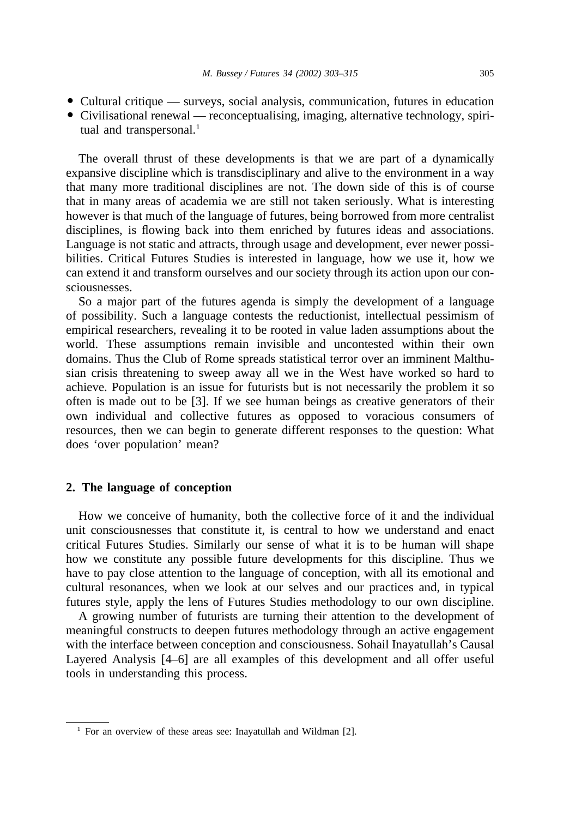- Cultural critique surveys, social analysis, communication, futures in education
- Civilisational renewal reconceptualising, imaging, alternative technology, spiritual and transpersonal. $<sup>1</sup>$ </sup>

The overall thrust of these developments is that we are part of a dynamically expansive discipline which is transdisciplinary and alive to the environment in a way that many more traditional disciplines are not. The down side of this is of course that in many areas of academia we are still not taken seriously. What is interesting however is that much of the language of futures, being borrowed from more centralist disciplines, is flowing back into them enriched by futures ideas and associations. Language is not static and attracts, through usage and development, ever newer possibilities. Critical Futures Studies is interested in language, how we use it, how we can extend it and transform ourselves and our society through its action upon our consciousnesses.

So a major part of the futures agenda is simply the development of a language of possibility. Such a language contests the reductionist, intellectual pessimism of empirical researchers, revealing it to be rooted in value laden assumptions about the world. These assumptions remain invisible and uncontested within their own domains. Thus the Club of Rome spreads statistical terror over an imminent Malthusian crisis threatening to sweep away all we in the West have worked so hard to achieve. Population is an issue for futurists but is not necessarily the problem it so often is made out to be [3]. If we see human beings as creative generators of their own individual and collective futures as opposed to voracious consumers of resources, then we can begin to generate different responses to the question: What does 'over population' mean?

#### **2. The language of conception**

How we conceive of humanity, both the collective force of it and the individual unit consciousnesses that constitute it, is central to how we understand and enact critical Futures Studies. Similarly our sense of what it is to be human will shape how we constitute any possible future developments for this discipline. Thus we have to pay close attention to the language of conception, with all its emotional and cultural resonances, when we look at our selves and our practices and, in typical futures style, apply the lens of Futures Studies methodology to our own discipline.

A growing number of futurists are turning their attention to the development of meaningful constructs to deepen futures methodology through an active engagement with the interface between conception and consciousness. Sohail Inayatullah's Causal Layered Analysis [4–6] are all examples of this development and all offer useful tools in understanding this process.

<sup>&</sup>lt;sup>1</sup> For an overview of these areas see: Inayatullah and Wildman [2].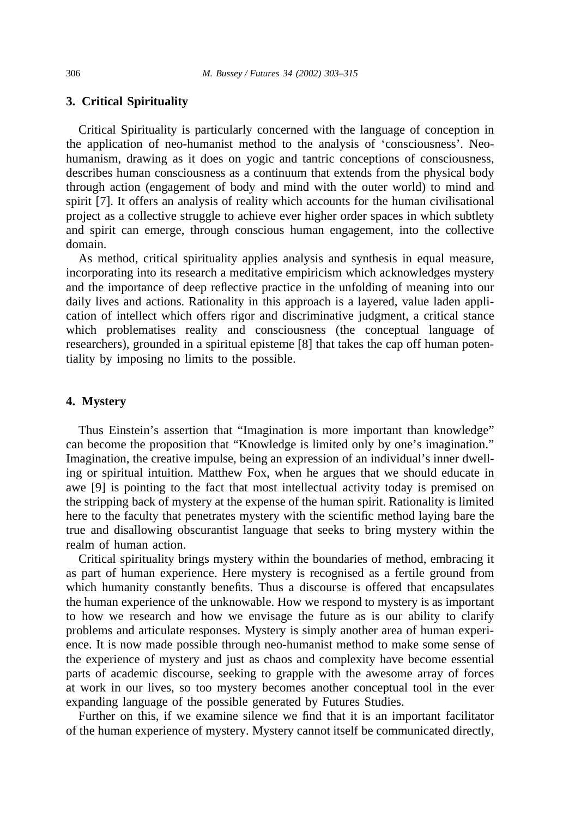#### **3. Critical Spirituality**

Critical Spirituality is particularly concerned with the language of conception in the application of neo-humanist method to the analysis of 'consciousness'. Neohumanism, drawing as it does on yogic and tantric conceptions of consciousness, describes human consciousness as a continuum that extends from the physical body through action (engagement of body and mind with the outer world) to mind and spirit [7]. It offers an analysis of reality which accounts for the human civilisational project as a collective struggle to achieve ever higher order spaces in which subtlety and spirit can emerge, through conscious human engagement, into the collective domain.

As method, critical spirituality applies analysis and synthesis in equal measure, incorporating into its research a meditative empiricism which acknowledges mystery and the importance of deep reflective practice in the unfolding of meaning into our daily lives and actions. Rationality in this approach is a layered, value laden application of intellect which offers rigor and discriminative judgment, a critical stance which problematises reality and consciousness (the conceptual language of researchers), grounded in a spiritual episteme [8] that takes the cap off human potentiality by imposing no limits to the possible.

## **4. Mystery**

Thus Einstein's assertion that "Imagination is more important than knowledge" can become the proposition that "Knowledge is limited only by one's imagination." Imagination, the creative impulse, being an expression of an individual's inner dwelling or spiritual intuition. Matthew Fox, when he argues that we should educate in awe [9] is pointing to the fact that most intellectual activity today is premised on the stripping back of mystery at the expense of the human spirit. Rationality is limited here to the faculty that penetrates mystery with the scientific method laying bare the true and disallowing obscurantist language that seeks to bring mystery within the realm of human action.

Critical spirituality brings mystery within the boundaries of method, embracing it as part of human experience. Here mystery is recognised as a fertile ground from which humanity constantly benefits. Thus a discourse is offered that encapsulates the human experience of the unknowable. How we respond to mystery is as important to how we research and how we envisage the future as is our ability to clarify problems and articulate responses. Mystery is simply another area of human experience. It is now made possible through neo-humanist method to make some sense of the experience of mystery and just as chaos and complexity have become essential parts of academic discourse, seeking to grapple with the awesome array of forces at work in our lives, so too mystery becomes another conceptual tool in the ever expanding language of the possible generated by Futures Studies.

Further on this, if we examine silence we find that it is an important facilitator of the human experience of mystery. Mystery cannot itself be communicated directly,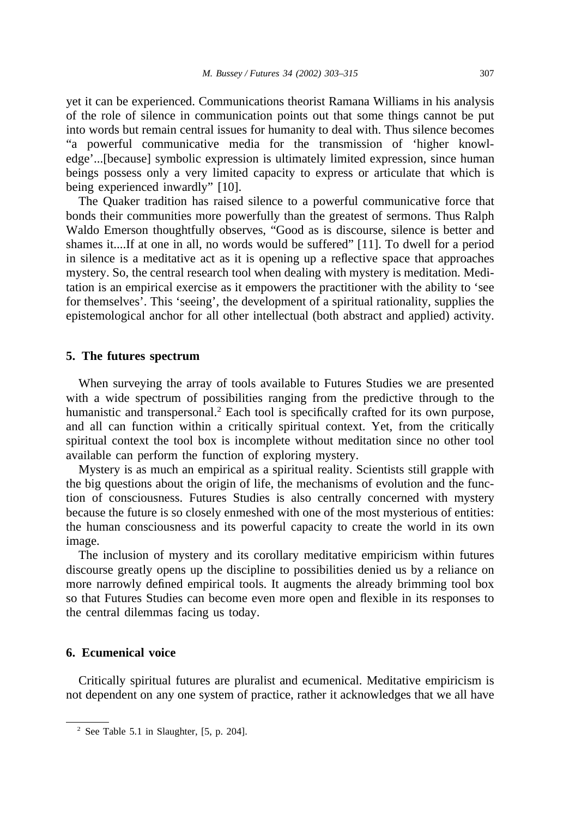yet it can be experienced. Communications theorist Ramana Williams in his analysis of the role of silence in communication points out that some things cannot be put into words but remain central issues for humanity to deal with. Thus silence becomes "a powerful communicative media for the transmission of 'higher knowledge'...[because] symbolic expression is ultimately limited expression, since human beings possess only a very limited capacity to express or articulate that which is being experienced inwardly" [10].

The Quaker tradition has raised silence to a powerful communicative force that bonds their communities more powerfully than the greatest of sermons. Thus Ralph Waldo Emerson thoughtfully observes, "Good as is discourse, silence is better and shames it....If at one in all, no words would be suffered" [11]. To dwell for a period in silence is a meditative act as it is opening up a reflective space that approaches mystery. So, the central research tool when dealing with mystery is meditation. Meditation is an empirical exercise as it empowers the practitioner with the ability to 'see for themselves'. This 'seeing', the development of a spiritual rationality, supplies the epistemological anchor for all other intellectual (both abstract and applied) activity.

#### **5. The futures spectrum**

When surveying the array of tools available to Futures Studies we are presented with a wide spectrum of possibilities ranging from the predictive through to the humanistic and transpersonal.<sup>2</sup> Each tool is specifically crafted for its own purpose, and all can function within a critically spiritual context. Yet, from the critically spiritual context the tool box is incomplete without meditation since no other tool available can perform the function of exploring mystery.

Mystery is as much an empirical as a spiritual reality. Scientists still grapple with the big questions about the origin of life, the mechanisms of evolution and the function of consciousness. Futures Studies is also centrally concerned with mystery because the future is so closely enmeshed with one of the most mysterious of entities: the human consciousness and its powerful capacity to create the world in its own image.

The inclusion of mystery and its corollary meditative empiricism within futures discourse greatly opens up the discipline to possibilities denied us by a reliance on more narrowly defined empirical tools. It augments the already brimming tool box so that Futures Studies can become even more open and flexible in its responses to the central dilemmas facing us today.

## **6. Ecumenical voice**

Critically spiritual futures are pluralist and ecumenical. Meditative empiricism is not dependent on any one system of practice, rather it acknowledges that we all have

 $2$  See Table 5.1 in Slaughter, [5, p. 204].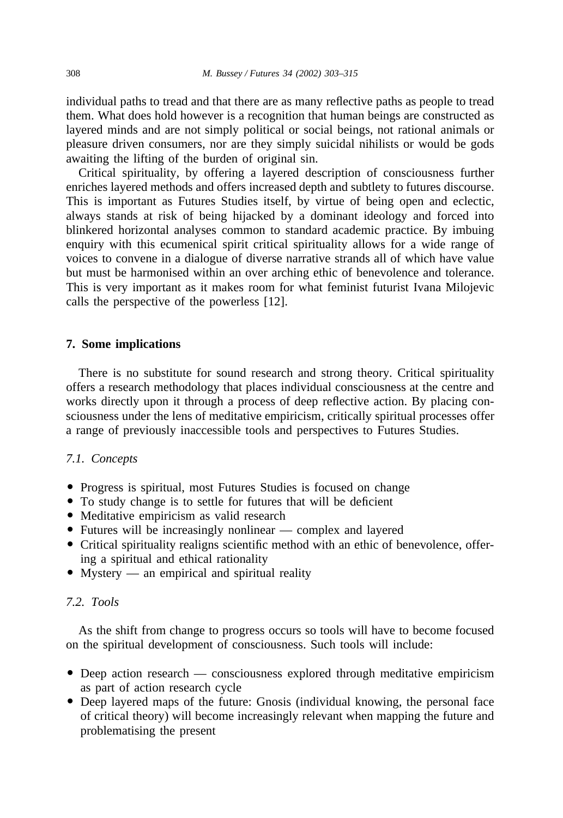individual paths to tread and that there are as many reflective paths as people to tread them. What does hold however is a recognition that human beings are constructed as layered minds and are not simply political or social beings, not rational animals or pleasure driven consumers, nor are they simply suicidal nihilists or would be gods awaiting the lifting of the burden of original sin.

Critical spirituality, by offering a layered description of consciousness further enriches layered methods and offers increased depth and subtlety to futures discourse. This is important as Futures Studies itself, by virtue of being open and eclectic, always stands at risk of being hijacked by a dominant ideology and forced into blinkered horizontal analyses common to standard academic practice. By imbuing enquiry with this ecumenical spirit critical spirituality allows for a wide range of voices to convene in a dialogue of diverse narrative strands all of which have value but must be harmonised within an over arching ethic of benevolence and tolerance. This is very important as it makes room for what feminist futurist Ivana Milojevic calls the perspective of the powerless [12].

#### **7. Some implications**

There is no substitute for sound research and strong theory. Critical spirituality offers a research methodology that places individual consciousness at the centre and works directly upon it through a process of deep reflective action. By placing consciousness under the lens of meditative empiricism, critically spiritual processes offer a range of previously inaccessible tools and perspectives to Futures Studies.

#### *7.1. Concepts*

- Progress is spiritual, most Futures Studies is focused on change
- To study change is to settle for futures that will be deficient
- Meditative empiricism as valid research
- Futures will be increasingly nonlinear complex and layered
- Critical spirituality realigns scientific method with an ethic of benevolence, offering a spiritual and ethical rationality
- Mystery an empirical and spiritual reality

#### *7.2. Tools*

As the shift from change to progress occurs so tools will have to become focused on the spiritual development of consciousness. Such tools will include:

- Deep action research consciousness explored through meditative empiricism as part of action research cycle
- Deep layered maps of the future: Gnosis (individual knowing, the personal face of critical theory) will become increasingly relevant when mapping the future and problematising the present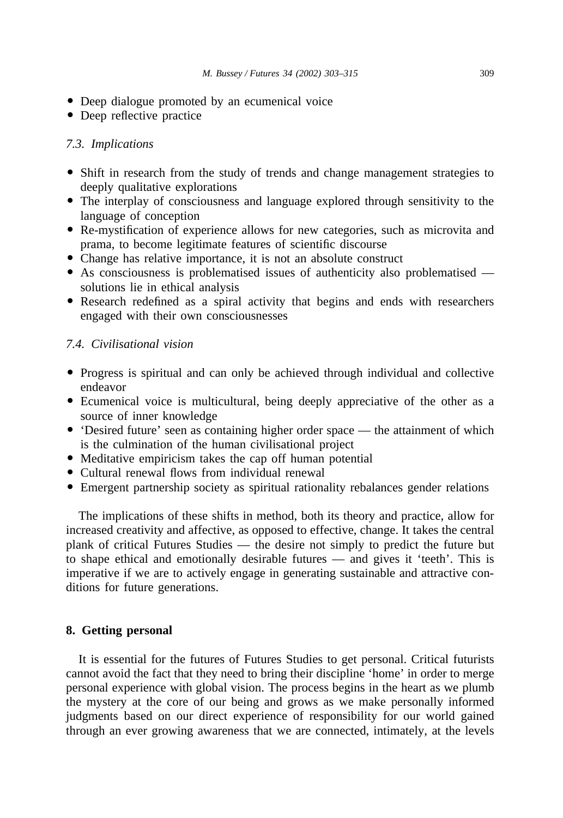- Deep dialogue promoted by an ecumenical voice
- Deep reflective practice

#### *7.3. Implications*

- Shift in research from the study of trends and change management strategies to deeply qualitative explorations
- The interplay of consciousness and language explored through sensitivity to the language of conception
- Re-mystification of experience allows for new categories, such as microvita and prama, to become legitimate features of scientific discourse
- Change has relative importance, it is not an absolute construct
- As consciousness is problematised issues of authenticity also problematised solutions lie in ethical analysis
- Research redefined as a spiral activity that begins and ends with researchers engaged with their own consciousnesses

## *7.4. Civilisational vision*

- Progress is spiritual and can only be achieved through individual and collective endeavor
- Ecumenical voice is multicultural, being deeply appreciative of the other as a source of inner knowledge
- 'Desired future' seen as containing higher order space the attainment of which is the culmination of the human civilisational project
- Meditative empiricism takes the cap off human potential
- Cultural renewal flows from individual renewal
- Emergent partnership society as spiritual rationality rebalances gender relations

The implications of these shifts in method, both its theory and practice, allow for increased creativity and affective, as opposed to effective, change. It takes the central plank of critical Futures Studies — the desire not simply to predict the future but to shape ethical and emotionally desirable futures — and gives it 'teeth'. This is imperative if we are to actively engage in generating sustainable and attractive conditions for future generations.

## **8. Getting personal**

It is essential for the futures of Futures Studies to get personal. Critical futurists cannot avoid the fact that they need to bring their discipline 'home' in order to merge personal experience with global vision. The process begins in the heart as we plumb the mystery at the core of our being and grows as we make personally informed judgments based on our direct experience of responsibility for our world gained through an ever growing awareness that we are connected, intimately, at the levels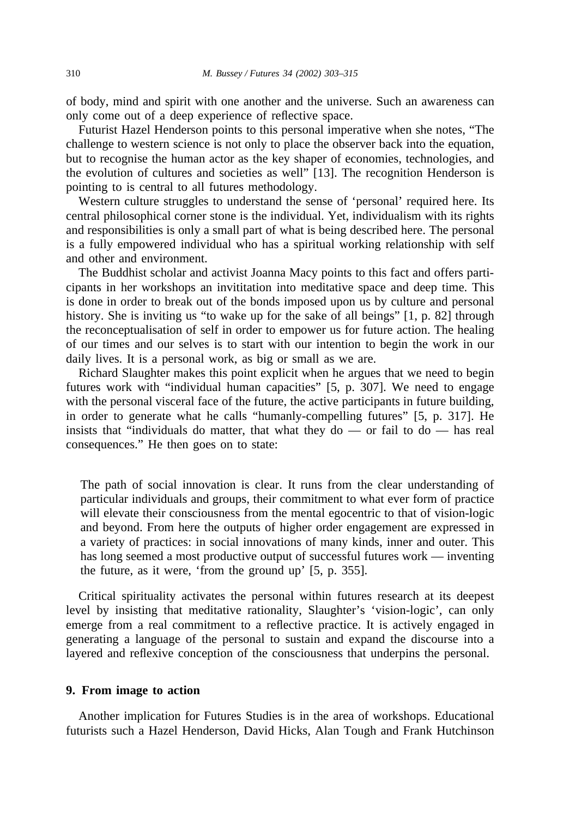of body, mind and spirit with one another and the universe. Such an awareness can only come out of a deep experience of reflective space.

Futurist Hazel Henderson points to this personal imperative when she notes, "The challenge to western science is not only to place the observer back into the equation, but to recognise the human actor as the key shaper of economies, technologies, and the evolution of cultures and societies as well" [13]. The recognition Henderson is pointing to is central to all futures methodology.

Western culture struggles to understand the sense of 'personal' required here. Its central philosophical corner stone is the individual. Yet, individualism with its rights and responsibilities is only a small part of what is being described here. The personal is a fully empowered individual who has a spiritual working relationship with self and other and environment.

The Buddhist scholar and activist Joanna Macy points to this fact and offers participants in her workshops an invititation into meditative space and deep time. This is done in order to break out of the bonds imposed upon us by culture and personal history. She is inviting us "to wake up for the sake of all beings" [1, p. 82] through the reconceptualisation of self in order to empower us for future action. The healing of our times and our selves is to start with our intention to begin the work in our daily lives. It is a personal work, as big or small as we are.

Richard Slaughter makes this point explicit when he argues that we need to begin futures work with "individual human capacities" [5, p. 307]. We need to engage with the personal visceral face of the future, the active participants in future building, in order to generate what he calls "humanly-compelling futures" [5, p. 317]. He insists that "individuals do matter, that what they do — or fail to do — has real consequences." He then goes on to state:

The path of social innovation is clear. It runs from the clear understanding of particular individuals and groups, their commitment to what ever form of practice will elevate their consciousness from the mental egocentric to that of vision-logic and beyond. From here the outputs of higher order engagement are expressed in a variety of practices: in social innovations of many kinds, inner and outer. This has long seemed a most productive output of successful futures work — inventing the future, as it were, 'from the ground up' [5, p. 355].

Critical spirituality activates the personal within futures research at its deepest level by insisting that meditative rationality, Slaughter's 'vision-logic', can only emerge from a real commitment to a reflective practice. It is actively engaged in generating a language of the personal to sustain and expand the discourse into a layered and reflexive conception of the consciousness that underpins the personal.

#### **9. From image to action**

Another implication for Futures Studies is in the area of workshops. Educational futurists such a Hazel Henderson, David Hicks, Alan Tough and Frank Hutchinson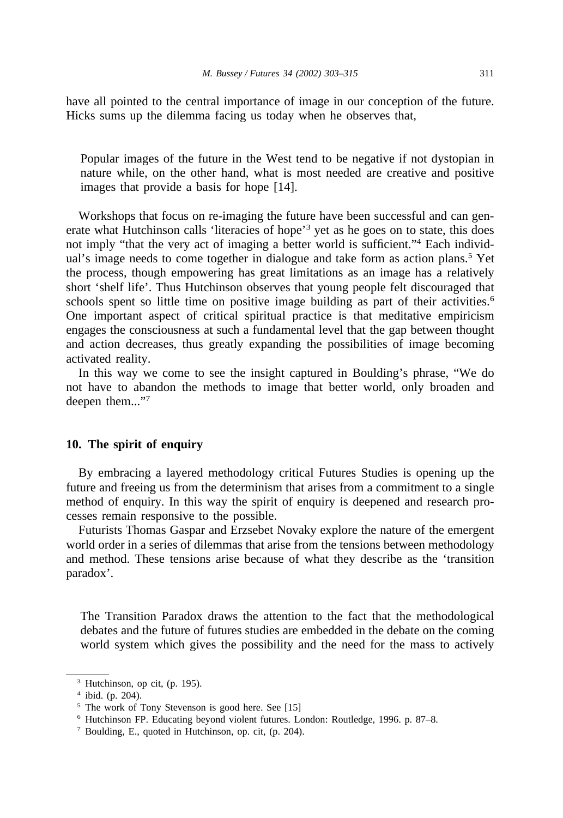have all pointed to the central importance of image in our conception of the future. Hicks sums up the dilemma facing us today when he observes that,

Popular images of the future in the West tend to be negative if not dystopian in nature while, on the other hand, what is most needed are creative and positive images that provide a basis for hope [14].

Workshops that focus on re-imaging the future have been successful and can generate what Hutchinson calls 'literacies of hope'<sup>3</sup> yet as he goes on to state, this does not imply "that the very act of imaging a better world is sufficient."4 Each individual's image needs to come together in dialogue and take form as action plans.<sup>5</sup> Yet the process, though empowering has great limitations as an image has a relatively short 'shelf life'. Thus Hutchinson observes that young people felt discouraged that schools spent so little time on positive image building as part of their activities.<sup>6</sup> One important aspect of critical spiritual practice is that meditative empiricism engages the consciousness at such a fundamental level that the gap between thought and action decreases, thus greatly expanding the possibilities of image becoming activated reality.

In this way we come to see the insight captured in Boulding's phrase, "We do not have to abandon the methods to image that better world, only broaden and deepen them..."<sup>7</sup>

#### **10. The spirit of enquiry**

By embracing a layered methodology critical Futures Studies is opening up the future and freeing us from the determinism that arises from a commitment to a single method of enquiry. In this way the spirit of enquiry is deepened and research processes remain responsive to the possible.

Futurists Thomas Gaspar and Erzsebet Novaky explore the nature of the emergent world order in a series of dilemmas that arise from the tensions between methodology and method. These tensions arise because of what they describe as the 'transition paradox'.

The Transition Paradox draws the attention to the fact that the methodological debates and the future of futures studies are embedded in the debate on the coming world system which gives the possibility and the need for the mass to actively

<sup>3</sup> Hutchinson, op cit, (p. 195).

<sup>4</sup> ibid. (p. 204).

<sup>5</sup> The work of Tony Stevenson is good here. See [15]

<sup>6</sup> Hutchinson FP. Educating beyond violent futures. London: Routledge, 1996. p. 87–8.

<sup>7</sup> Boulding, E., quoted in Hutchinson, op. cit, (p. 204).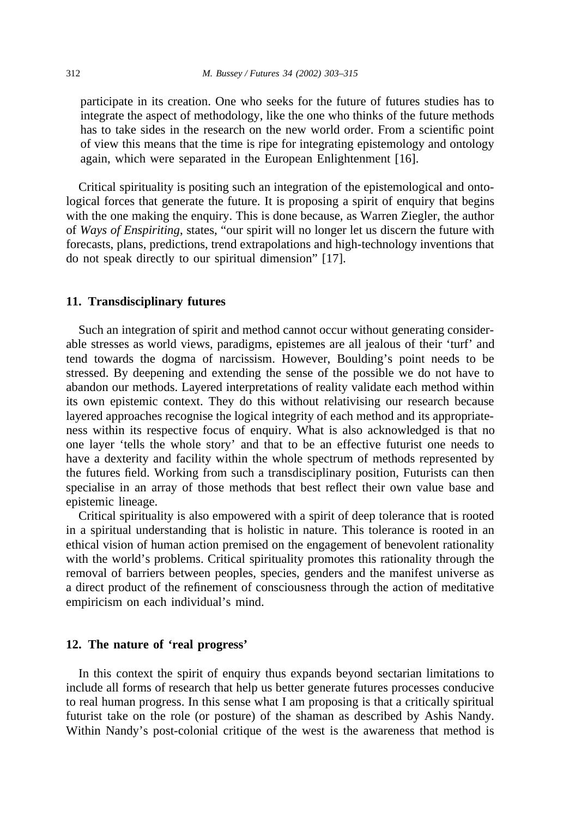participate in its creation. One who seeks for the future of futures studies has to integrate the aspect of methodology, like the one who thinks of the future methods has to take sides in the research on the new world order. From a scientific point of view this means that the time is ripe for integrating epistemology and ontology again, which were separated in the European Enlightenment [16].

Critical spirituality is positing such an integration of the epistemological and ontological forces that generate the future. It is proposing a spirit of enquiry that begins with the one making the enquiry. This is done because, as Warren Ziegler, the author of *Ways of Enspiriting*, states, "our spirit will no longer let us discern the future with forecasts, plans, predictions, trend extrapolations and high-technology inventions that do not speak directly to our spiritual dimension" [17].

## **11. Transdisciplinary futures**

Such an integration of spirit and method cannot occur without generating considerable stresses as world views, paradigms, epistemes are all jealous of their 'turf' and tend towards the dogma of narcissism. However, Boulding's point needs to be stressed. By deepening and extending the sense of the possible we do not have to abandon our methods. Layered interpretations of reality validate each method within its own epistemic context. They do this without relativising our research because layered approaches recognise the logical integrity of each method and its appropriateness within its respective focus of enquiry. What is also acknowledged is that no one layer 'tells the whole story' and that to be an effective futurist one needs to have a dexterity and facility within the whole spectrum of methods represented by the futures field. Working from such a transdisciplinary position, Futurists can then specialise in an array of those methods that best reflect their own value base and epistemic lineage.

Critical spirituality is also empowered with a spirit of deep tolerance that is rooted in a spiritual understanding that is holistic in nature. This tolerance is rooted in an ethical vision of human action premised on the engagement of benevolent rationality with the world's problems. Critical spirituality promotes this rationality through the removal of barriers between peoples, species, genders and the manifest universe as a direct product of the refinement of consciousness through the action of meditative empiricism on each individual's mind.

## **12. The nature of 'real progress'**

In this context the spirit of enquiry thus expands beyond sectarian limitations to include all forms of research that help us better generate futures processes conducive to real human progress. In this sense what I am proposing is that a critically spiritual futurist take on the role (or posture) of the shaman as described by Ashis Nandy. Within Nandy's post-colonial critique of the west is the awareness that method is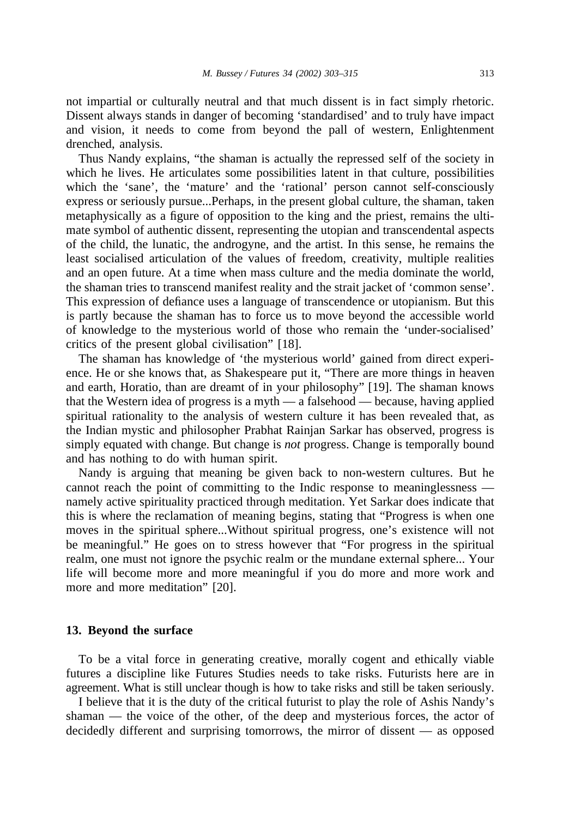not impartial or culturally neutral and that much dissent is in fact simply rhetoric. Dissent always stands in danger of becoming 'standardised' and to truly have impact and vision, it needs to come from beyond the pall of western, Enlightenment drenched, analysis.

Thus Nandy explains, "the shaman is actually the repressed self of the society in which he lives. He articulates some possibilities latent in that culture, possibilities which the 'sane', the 'mature' and the 'rational' person cannot self-consciously express or seriously pursue...Perhaps, in the present global culture, the shaman, taken metaphysically as a figure of opposition to the king and the priest, remains the ultimate symbol of authentic dissent, representing the utopian and transcendental aspects of the child, the lunatic, the androgyne, and the artist. In this sense, he remains the least socialised articulation of the values of freedom, creativity, multiple realities and an open future. At a time when mass culture and the media dominate the world, the shaman tries to transcend manifest reality and the strait jacket of 'common sense'. This expression of defiance uses a language of transcendence or utopianism. But this is partly because the shaman has to force us to move beyond the accessible world of knowledge to the mysterious world of those who remain the 'under-socialised' critics of the present global civilisation" [18].

The shaman has knowledge of 'the mysterious world' gained from direct experience. He or she knows that, as Shakespeare put it, "There are more things in heaven and earth, Horatio, than are dreamt of in your philosophy" [19]. The shaman knows that the Western idea of progress is a myth — a falsehood — because, having applied spiritual rationality to the analysis of western culture it has been revealed that, as the Indian mystic and philosopher Prabhat Rainjan Sarkar has observed, progress is simply equated with change. But change is *not* progress. Change is temporally bound and has nothing to do with human spirit.

Nandy is arguing that meaning be given back to non-western cultures. But he cannot reach the point of committing to the Indic response to meaninglessness namely active spirituality practiced through meditation. Yet Sarkar does indicate that this is where the reclamation of meaning begins, stating that "Progress is when one moves in the spiritual sphere...Without spiritual progress, one's existence will not be meaningful." He goes on to stress however that "For progress in the spiritual realm, one must not ignore the psychic realm or the mundane external sphere... Your life will become more and more meaningful if you do more and more work and more and more meditation" [20].

#### **13. Beyond the surface**

To be a vital force in generating creative, morally cogent and ethically viable futures a discipline like Futures Studies needs to take risks. Futurists here are in agreement. What is still unclear though is how to take risks and still be taken seriously.

I believe that it is the duty of the critical futurist to play the role of Ashis Nandy's shaman — the voice of the other, of the deep and mysterious forces, the actor of decidedly different and surprising tomorrows, the mirror of dissent — as opposed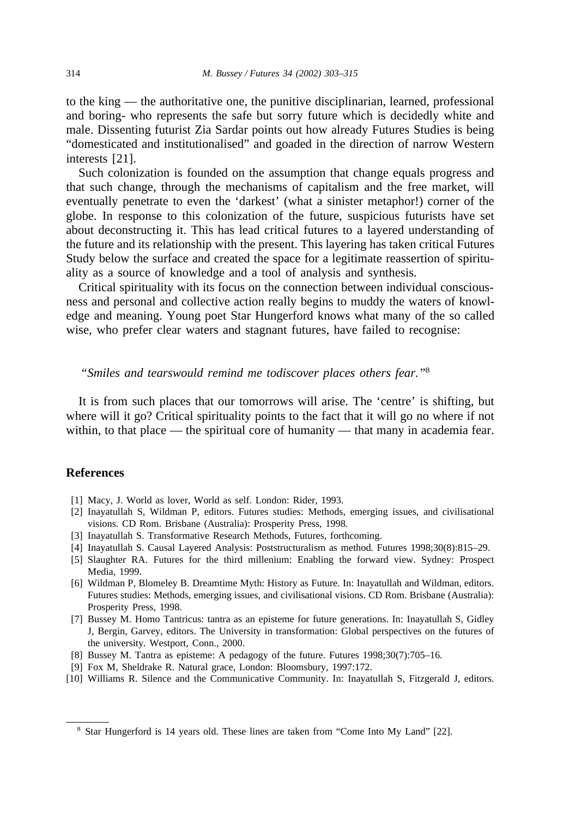to the king — the authoritative one, the punitive disciplinarian, learned, professional and boring- who represents the safe but sorry future which is decidedly white and male. Dissenting futurist Zia Sardar points out how already Futures Studies is being "domesticated and institutionalised" and goaded in the direction of narrow Western interests [21].

Such colonization is founded on the assumption that change equals progress and that such change, through the mechanisms of capitalism and the free market, will eventually penetrate to even the 'darkest' (what a sinister metaphor!) corner of the globe. In response to this colonization of the future, suspicious futurists have set about deconstructing it. This has lead critical futures to a layered understanding of the future and its relationship with the present. This layering has taken critical Futures Study below the surface and created the space for a legitimate reassertion of spirituality as a source of knowledge and a tool of analysis and synthesis.

Critical spirituality with its focus on the connection between individual consciousness and personal and collective action really begins to muddy the waters of knowledge and meaning. Young poet Star Hungerford knows what many of the so called wise, who prefer clear waters and stagnant futures, have failed to recognise:

#### *"Smiles and tearswould remind me todiscover places others fear."*<sup>8</sup>

It is from such places that our tomorrows will arise. The 'centre' is shifting, but where will it go? Critical spirituality points to the fact that it will go no where if not within, to that place — the spiritual core of humanity — that many in academia fear.

#### **References**

- [1] Macy, J. World as lover, World as self. London: Rider, 1993.
- [2] Inayatullah S, Wildman P, editors. Futures studies: Methods, emerging issues, and civilisational visions. CD Rom. Brisbane (Australia): Prosperity Press, 1998.
- [3] Inayatullah S. Transformative Research Methods, Futures, forthcoming.
- [4] Inayatullah S. Causal Layered Analysis: Poststructuralism as method. Futures 1998;30(8):815–29.
- [5] Slaughter RA. Futures for the third millenium: Enabling the forward view. Sydney: Prospect Media, 1999.
- [6] Wildman P, Blomeley B. Dreamtime Myth: History as Future. In: Inayatullah and Wildman, editors. Futures studies: Methods, emerging issues, and civilisational visions. CD Rom. Brisbane (Australia): Prosperity Press, 1998.
- [7] Bussey M. Homo Tantricus: tantra as an episteme for future generations. In: Inayatullah S, Gidley J, Bergin, Garvey, editors. The University in transformation: Global perspectives on the futures of the university. Westport, Conn., 2000.
- [8] Bussey M. Tantra as episteme: A pedagogy of the future. Futures 1998;30(7):705–16.
- [9] Fox M, Sheldrake R. Natural grace, London: Bloomsbury, 1997:172.
- [10] Williams R. Silence and the Communicative Community. In: Inayatullah S, Fitzgerald J, editors.

<sup>8</sup> Star Hungerford is 14 years old. These lines are taken from "Come Into My Land" [22].